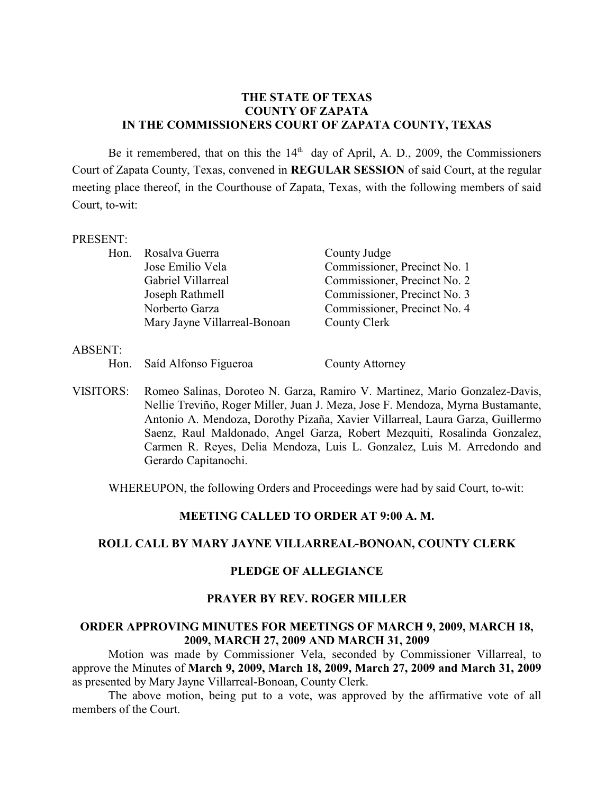### **THE STATE OF TEXAS COUNTY OF ZAPATA IN THE COMMISSIONERS COURT OF ZAPATA COUNTY, TEXAS**

Be it remembered, that on this the  $14<sup>th</sup>$  day of April, A. D., 2009, the Commissioners Court of Zapata County, Texas, convened in **REGULAR SESSION** of said Court, at the regular meeting place thereof, in the Courthouse of Zapata, Texas, with the following members of said Court, to-wit:

#### PRESENT:

| Hon. Rosalva Guerra          | County Judge                 |
|------------------------------|------------------------------|
| Jose Emilio Vela             | Commissioner, Precinct No. 1 |
| Gabriel Villarreal           | Commissioner, Precinct No. 2 |
| Joseph Rathmell              | Commissioner, Precinct No. 3 |
| Norberto Garza               | Commissioner, Precinct No. 4 |
| Mary Jayne Villarreal-Bonoan | County Clerk                 |

#### ABSENT:

Hon. Saíd Alfonso Figueroa County Attorney

VISITORS: Romeo Salinas, Doroteo N. Garza, Ramiro V. Martinez, Mario Gonzalez-Davis, Nellie Treviño, Roger Miller, Juan J. Meza, Jose F. Mendoza, Myrna Bustamante, Antonio A. Mendoza, Dorothy Pizaña, Xavier Villarreal, Laura Garza, Guillermo Saenz, Raul Maldonado, Angel Garza, Robert Mezquiti, Rosalinda Gonzalez, Carmen R. Reyes, Delia Mendoza, Luis L. Gonzalez, Luis M. Arredondo and Gerardo Capitanochi.

WHEREUPON, the following Orders and Proceedings were had by said Court, to-wit:

### **MEETING CALLED TO ORDER AT 9:00 A. M.**

# **ROLL CALL BY MARY JAYNE VILLARREAL-BONOAN, COUNTY CLERK**

# **PLEDGE OF ALLEGIANCE**

### **PRAYER BY REV. ROGER MILLER**

### **ORDER APPROVING MINUTES FOR MEETINGS OF MARCH 9, 2009, MARCH 18, 2009, MARCH 27, 2009 AND MARCH 31, 2009**

Motion was made by Commissioner Vela, seconded by Commissioner Villarreal, to approve the Minutes of **March 9, 2009, March 18, 2009, March 27, 2009 and March 31, 2009** as presented by Mary Jayne Villarreal-Bonoan, County Clerk.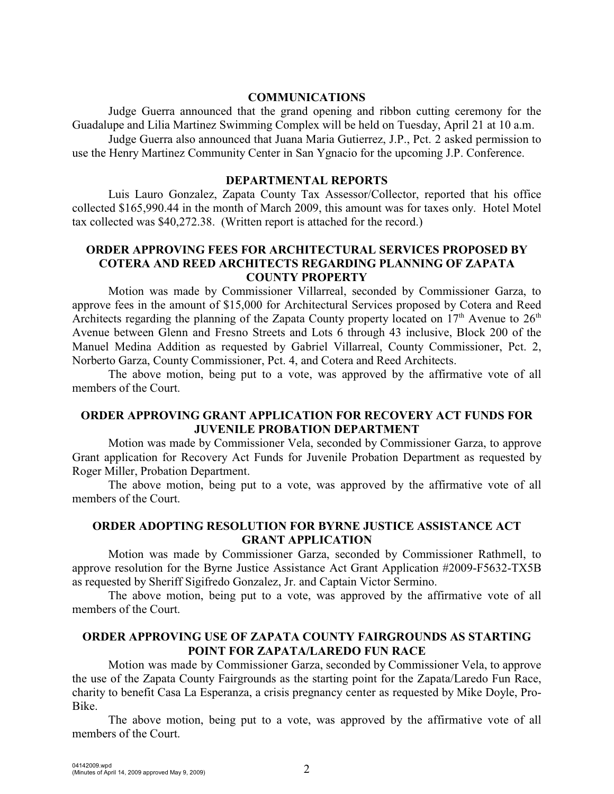#### **COMMUNICATIONS**

Judge Guerra announced that the grand opening and ribbon cutting ceremony for the Guadalupe and Lilia Martinez Swimming Complex will be held on Tuesday, April 21 at 10 a.m. Judge Guerra also announced that Juana Maria Gutierrez, J.P., Pct. 2 asked permission to use the Henry Martinez Community Center in San Ygnacio for the upcoming J.P. Conference.

#### **DEPARTMENTAL REPORTS**

Luis Lauro Gonzalez, Zapata County Tax Assessor/Collector, reported that his office collected \$165,990.44 in the month of March 2009, this amount was for taxes only. Hotel Motel tax collected was \$40,272.38. (Written report is attached for the record.)

## **ORDER APPROVING FEES FOR ARCHITECTURAL SERVICES PROPOSED BY COTERA AND REED ARCHITECTS REGARDING PLANNING OF ZAPATA COUNTY PROPERTY**

Motion was made by Commissioner Villarreal, seconded by Commissioner Garza, to approve fees in the amount of \$15,000 for Architectural Services proposed by Cotera and Reed Architects regarding the planning of the Zapata County property located on  $17<sup>th</sup>$  Avenue to  $26<sup>th</sup>$ Avenue between Glenn and Fresno Streets and Lots 6 through 43 inclusive, Block 200 of the Manuel Medina Addition as requested by Gabriel Villarreal, County Commissioner, Pct. 2, Norberto Garza, County Commissioner, Pct. 4, and Cotera and Reed Architects.

The above motion, being put to a vote, was approved by the affirmative vote of all members of the Court.

### **ORDER APPROVING GRANT APPLICATION FOR RECOVERY ACT FUNDS FOR JUVENILE PROBATION DEPARTMENT**

Motion was made by Commissioner Vela, seconded by Commissioner Garza, to approve Grant application for Recovery Act Funds for Juvenile Probation Department as requested by Roger Miller, Probation Department.

The above motion, being put to a vote, was approved by the affirmative vote of all members of the Court.

## **ORDER ADOPTING RESOLUTION FOR BYRNE JUSTICE ASSISTANCE ACT GRANT APPLICATION**

Motion was made by Commissioner Garza, seconded by Commissioner Rathmell, to approve resolution for the Byrne Justice Assistance Act Grant Application #2009-F5632-TX5B as requested by Sheriff Sigifredo Gonzalez, Jr. and Captain Victor Sermino.

The above motion, being put to a vote, was approved by the affirmative vote of all members of the Court.

## **ORDER APPROVING USE OF ZAPATA COUNTY FAIRGROUNDS AS STARTING POINT FOR ZAPATA/LAREDO FUN RACE**

 Motion was made by Commissioner Garza, seconded by Commissioner Vela, to approve the use of the Zapata County Fairgrounds as the starting point for the Zapata/Laredo Fun Race, charity to benefit Casa La Esperanza, a crisis pregnancy center as requested by Mike Doyle, Pro-Bike.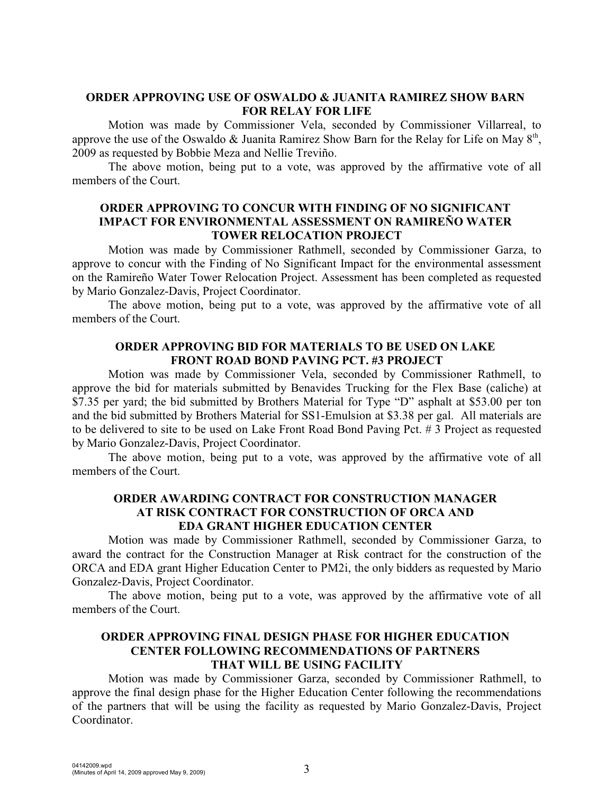## **ORDER APPROVING USE OF OSWALDO & JUANITA RAMIREZ SHOW BARN FOR RELAY FOR LIFE**

Motion was made by Commissioner Vela, seconded by Commissioner Villarreal, to approve the use of the Oswaldo & Juanita Ramirez Show Barn for the Relay for Life on May  $8<sup>th</sup>$ , 2009 as requested by Bobbie Meza and Nellie Treviño.

The above motion, being put to a vote, was approved by the affirmative vote of all members of the Court.

### **ORDER APPROVING TO CONCUR WITH FINDING OF NO SIGNIFICANT IMPACT FOR ENVIRONMENTAL ASSESSMENT ON RAMIREÑO WATER TOWER RELOCATION PROJECT**

Motion was made by Commissioner Rathmell, seconded by Commissioner Garza, to approve to concur with the Finding of No Significant Impact for the environmental assessment on the Ramireño Water Tower Relocation Project. Assessment has been completed as requested by Mario Gonzalez-Davis, Project Coordinator.

The above motion, being put to a vote, was approved by the affirmative vote of all members of the Court.

## **ORDER APPROVING BID FOR MATERIALS TO BE USED ON LAKE FRONT ROAD BOND PAVING PCT. #3 PROJECT**

Motion was made by Commissioner Vela, seconded by Commissioner Rathmell, to approve the bid for materials submitted by Benavides Trucking for the Flex Base (caliche) at \$7.35 per yard; the bid submitted by Brothers Material for Type "D" asphalt at \$53.00 per ton and the bid submitted by Brothers Material for SS1-Emulsion at \$3.38 per gal. All materials are to be delivered to site to be used on Lake Front Road Bond Paving Pct. # 3 Project as requested by Mario Gonzalez-Davis, Project Coordinator.

The above motion, being put to a vote, was approved by the affirmative vote of all members of the Court.

# **ORDER AWARDING CONTRACT FOR CONSTRUCTION MANAGER AT RISK CONTRACT FOR CONSTRUCTION OF ORCA AND EDA GRANT HIGHER EDUCATION CENTER**

Motion was made by Commissioner Rathmell, seconded by Commissioner Garza, to award the contract for the Construction Manager at Risk contract for the construction of the ORCA and EDA grant Higher Education Center to PM2i, the only bidders as requested by Mario Gonzalez-Davis, Project Coordinator.

The above motion, being put to a vote, was approved by the affirmative vote of all members of the Court.

## **ORDER APPROVING FINAL DESIGN PHASE FOR HIGHER EDUCATION CENTER FOLLOWING RECOMMENDATIONS OF PARTNERS THAT WILL BE USING FACILITY**

Motion was made by Commissioner Garza, seconded by Commissioner Rathmell, to approve the final design phase for the Higher Education Center following the recommendations of the partners that will be using the facility as requested by Mario Gonzalez-Davis, Project Coordinator.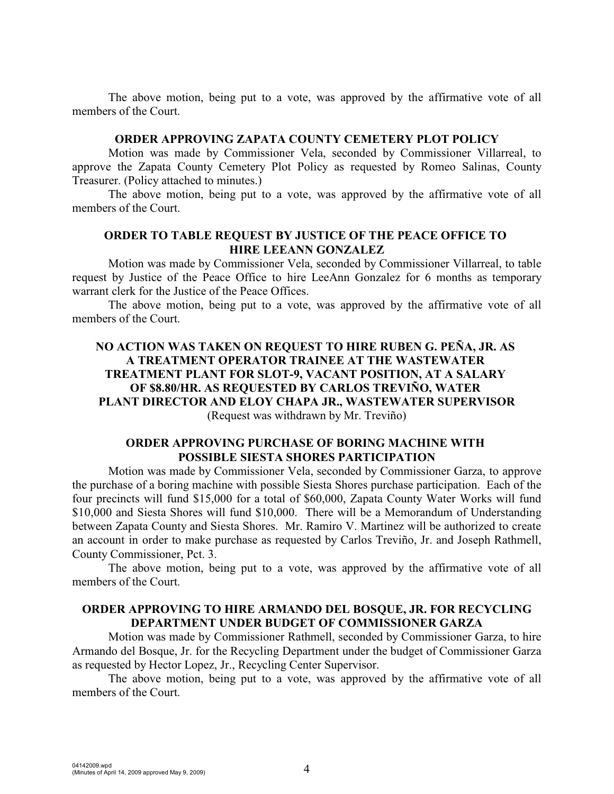The above motion, being put to a vote, was approved by the affirmative vote of all members of the Court.

#### **ORDER APPROVING ZAPATA COUNTY CEMETERY PLOT POLICY**

Motion was made by Commissioner Vela, seconded by Commissioner Villarreal, to approve the Zapata County Cemetery Plot Policy as requested by Romeo Salinas, County Treasurer. (Policy attached to minutes.)

The above motion, being put to a vote, was approved by the affirmative vote of all members of the Court.

#### **ORDER TO TABLE REQUEST BY JUSTICE OF THE PEACE OFFICE TO HIRE LEEANN GONZALEZ**

Motion was made by Commissioner Vela, seconded by Commissioner Villarreal, to table request by Justice of the Peace Office to hire LeeAnn Gonzalez for 6 months as temporary warrant clerk for the Justice of the Peace Offices.

The above motion, being put to a vote, was approved by the affirmative vote of all members of the Court.

## **NO ACTION WAS TAKEN ON REQUEST TO HIRE RUBEN G. PEÑA, JR. AS A TREATMENT OPERATOR TRAINEE AT THE WASTEWATER TREATMENT PLANT FOR SLOT-9, VACANT POSITION, AT A SALARY OF \$8.80/HR. AS REQUESTED BY CARLOS TREVIÑO, WATER PLANT DIRECTOR AND ELOY CHAPA JR., WASTEWATER SUPERVISOR** (Request was withdrawn by Mr. Treviño)

## **ORDER APPROVING PURCHASE OF BORING MACHINE WITH POSSIBLE SIESTA SHORES PARTICIPATION**

Motion was made by Commissioner Vela, seconded by Commissioner Garza, to approve the purchase of a boring machine with possible Siesta Shores purchase participation. Each of the four precincts will fund \$15,000 for a total of \$60,000, Zapata County Water Works will fund \$10,000 and Siesta Shores will fund \$10,000. There will be a Memorandum of Understanding between Zapata County and Siesta Shores. Mr. Ramiro V. Martinez will be authorized to create an account in order to make purchase as requested by Carlos Treviño, Jr. and Joseph Rathmell, County Commissioner, Pct. 3.

The above motion, being put to a vote, was approved by the affirmative vote of all members of the Court.

## **ORDER APPROVING TO HIRE ARMANDO DEL BOSQUE, JR. FOR RECYCLING DEPARTMENT UNDER BUDGET OF COMMISSIONER GARZA**

Motion was made by Commissioner Rathmell, seconded by Commissioner Garza, to hire Armando del Bosque, Jr. for the Recycling Department under the budget of Commissioner Garza as requested by Hector Lopez, Jr., Recycling Center Supervisor.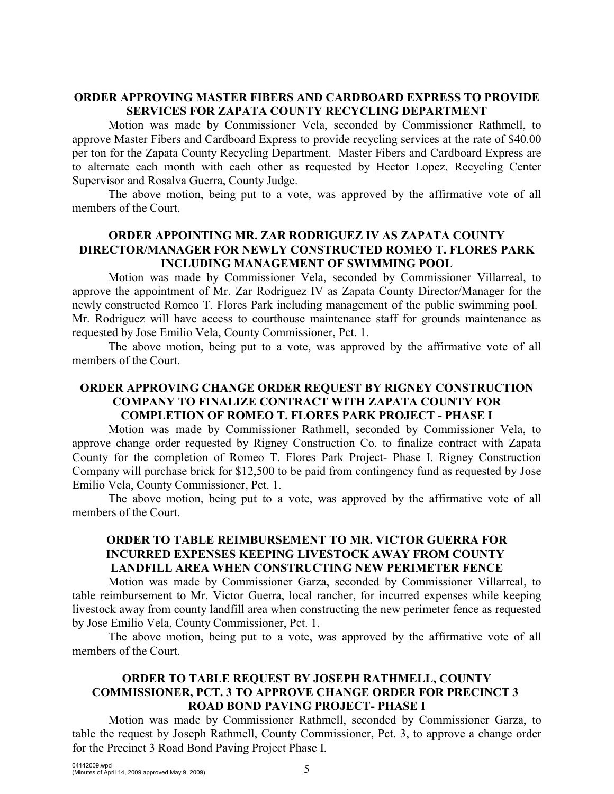## **ORDER APPROVING MASTER FIBERS AND CARDBOARD EXPRESS TO PROVIDE SERVICES FOR ZAPATA COUNTY RECYCLING DEPARTMENT**

Motion was made by Commissioner Vela, seconded by Commissioner Rathmell, to approve Master Fibers and Cardboard Express to provide recycling services at the rate of \$40.00 per ton for the Zapata County Recycling Department. Master Fibers and Cardboard Express are to alternate each month with each other as requested by Hector Lopez, Recycling Center Supervisor and Rosalva Guerra, County Judge.

The above motion, being put to a vote, was approved by the affirmative vote of all members of the Court.

## **ORDER APPOINTING MR. ZAR RODRIGUEZ IV AS ZAPATA COUNTY DIRECTOR/MANAGER FOR NEWLY CONSTRUCTED ROMEO T. FLORES PARK INCLUDING MANAGEMENT OF SWIMMING POOL**

Motion was made by Commissioner Vela, seconded by Commissioner Villarreal, to approve the appointment of Mr. Zar Rodriguez IV as Zapata County Director/Manager for the newly constructed Romeo T. Flores Park including management of the public swimming pool. Mr. Rodriguez will have access to courthouse maintenance staff for grounds maintenance as requested by Jose Emilio Vela, County Commissioner, Pct. 1.

The above motion, being put to a vote, was approved by the affirmative vote of all members of the Court.

## **ORDER APPROVING CHANGE ORDER REQUEST BY RIGNEY CONSTRUCTION COMPANY TO FINALIZE CONTRACT WITH ZAPATA COUNTY FOR COMPLETION OF ROMEO T. FLORES PARK PROJECT - PHASE I**

Motion was made by Commissioner Rathmell, seconded by Commissioner Vela, to approve change order requested by Rigney Construction Co. to finalize contract with Zapata County for the completion of Romeo T. Flores Park Project- Phase I. Rigney Construction Company will purchase brick for \$12,500 to be paid from contingency fund as requested by Jose Emilio Vela, County Commissioner, Pct. 1.

The above motion, being put to a vote, was approved by the affirmative vote of all members of the Court.

## **ORDER TO TABLE REIMBURSEMENT TO MR. VICTOR GUERRA FOR INCURRED EXPENSES KEEPING LIVESTOCK AWAY FROM COUNTY LANDFILL AREA WHEN CONSTRUCTING NEW PERIMETER FENCE**

Motion was made by Commissioner Garza, seconded by Commissioner Villarreal, to table reimbursement to Mr. Victor Guerra, local rancher, for incurred expenses while keeping livestock away from county landfill area when constructing the new perimeter fence as requested by Jose Emilio Vela, County Commissioner, Pct. 1.

The above motion, being put to a vote, was approved by the affirmative vote of all members of the Court.

## **ORDER TO TABLE REQUEST BY JOSEPH RATHMELL, COUNTY COMMISSIONER, PCT. 3 TO APPROVE CHANGE ORDER FOR PRECINCT 3 ROAD BOND PAVING PROJECT- PHASE I**

Motion was made by Commissioner Rathmell, seconded by Commissioner Garza, to table the request by Joseph Rathmell, County Commissioner, Pct. 3, to approve a change order for the Precinct 3 Road Bond Paving Project Phase I.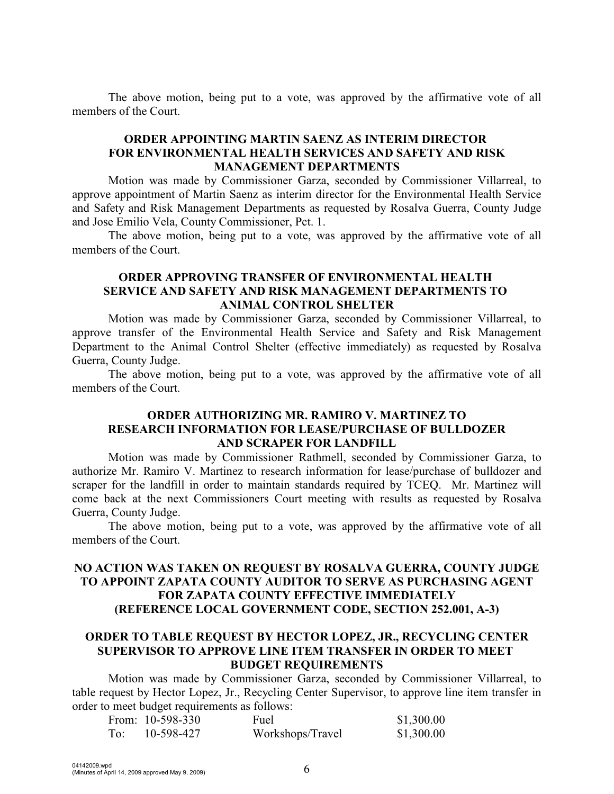The above motion, being put to a vote, was approved by the affirmative vote of all members of the Court.

## **ORDER APPOINTING MARTIN SAENZ AS INTERIM DIRECTOR FOR ENVIRONMENTAL HEALTH SERVICES AND SAFETY AND RISK MANAGEMENT DEPARTMENTS**

Motion was made by Commissioner Garza, seconded by Commissioner Villarreal, to approve appointment of Martin Saenz as interim director for the Environmental Health Service and Safety and Risk Management Departments as requested by Rosalva Guerra, County Judge and Jose Emilio Vela, County Commissioner, Pct. 1.

The above motion, being put to a vote, was approved by the affirmative vote of all members of the Court.

## **ORDER APPROVING TRANSFER OF ENVIRONMENTAL HEALTH SERVICE AND SAFETY AND RISK MANAGEMENT DEPARTMENTS TO ANIMAL CONTROL SHELTER**

Motion was made by Commissioner Garza, seconded by Commissioner Villarreal, to approve transfer of the Environmental Health Service and Safety and Risk Management Department to the Animal Control Shelter (effective immediately) as requested by Rosalva Guerra, County Judge.

The above motion, being put to a vote, was approved by the affirmative vote of all members of the Court.

### **ORDER AUTHORIZING MR. RAMIRO V. MARTINEZ TO RESEARCH INFORMATION FOR LEASE/PURCHASE OF BULLDOZER AND SCRAPER FOR LANDFILL**

Motion was made by Commissioner Rathmell, seconded by Commissioner Garza, to authorize Mr. Ramiro V. Martinez to research information for lease/purchase of bulldozer and scraper for the landfill in order to maintain standards required by TCEQ. Mr. Martinez will come back at the next Commissioners Court meeting with results as requested by Rosalva Guerra, County Judge.

The above motion, being put to a vote, was approved by the affirmative vote of all members of the Court.

## **NO ACTION WAS TAKEN ON REQUEST BY ROSALVA GUERRA, COUNTY JUDGE TO APPOINT ZAPATA COUNTY AUDITOR TO SERVE AS PURCHASING AGENT FOR ZAPATA COUNTY EFFECTIVE IMMEDIATELY (REFERENCE LOCAL GOVERNMENT CODE, SECTION 252.001, A-3)**

## **ORDER TO TABLE REQUEST BY HECTOR LOPEZ, JR., RECYCLING CENTER SUPERVISOR TO APPROVE LINE ITEM TRANSFER IN ORDER TO MEET BUDGET REQUIREMENTS**

Motion was made by Commissioner Garza, seconded by Commissioner Villarreal, to table request by Hector Lopez, Jr., Recycling Center Supervisor, to approve line item transfer in order to meet budget requirements as follows:

|       | From: $10-598-330$ | Fuel             | \$1,300.00 |
|-------|--------------------|------------------|------------|
| To: - | 10-598-427         | Workshops/Travel | \$1,300.00 |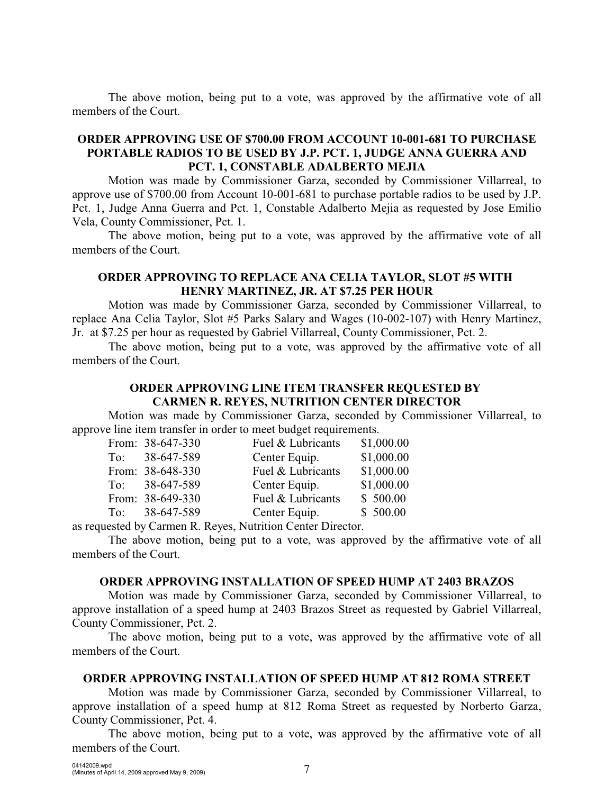The above motion, being put to a vote, was approved by the affirmative vote of all members of the Court.

## **ORDER APPROVING USE OF \$700.00 FROM ACCOUNT 10-001-681 TO PURCHASE PORTABLE RADIOS TO BE USED BY J.P. PCT. 1, JUDGE ANNA GUERRA AND PCT. 1, CONSTABLE ADALBERTO MEJIA**

Motion was made by Commissioner Garza, seconded by Commissioner Villarreal, to approve use of \$700.00 from Account 10-001-681 to purchase portable radios to be used by J.P. Pct. 1, Judge Anna Guerra and Pct. 1, Constable Adalberto Mejia as requested by Jose Emilio Vela, County Commissioner, Pct. 1.

The above motion, being put to a vote, was approved by the affirmative vote of all members of the Court.

## **ORDER APPROVING TO REPLACE ANA CELIA TAYLOR, SLOT #5 WITH HENRY MARTINEZ, JR. AT \$7.25 PER HOUR**

Motion was made by Commissioner Garza, seconded by Commissioner Villarreal, to replace Ana Celia Taylor, Slot #5 Parks Salary and Wages (10-002-107) with Henry Martinez, Jr. at \$7.25 per hour as requested by Gabriel Villarreal, County Commissioner, Pct. 2.

The above motion, being put to a vote, was approved by the affirmative vote of all members of the Court.

# **ORDER APPROVING LINE ITEM TRANSFER REQUESTED BY CARMEN R. REYES, NUTRITION CENTER DIRECTOR**

Motion was made by Commissioner Garza, seconded by Commissioner Villarreal, to approve line item transfer in order to meet budget requirements.

|                                                                                                                                                      |  | From: 38-647-330 | Fuel & Lubricants |  | \$1,000.00 |  |
|------------------------------------------------------------------------------------------------------------------------------------------------------|--|------------------|-------------------|--|------------|--|
|                                                                                                                                                      |  | To: $38-647-589$ | Center Equip.     |  | \$1,000.00 |  |
|                                                                                                                                                      |  | From: 38-648-330 | Fuel & Lubricants |  | \$1,000.00 |  |
|                                                                                                                                                      |  | To: $38-647-589$ | Center Equip.     |  | \$1,000.00 |  |
|                                                                                                                                                      |  | From: 38-649-330 | Fuel & Lubricants |  | \$500.00   |  |
|                                                                                                                                                      |  | To: $38-647-589$ | Center Equip.     |  | \$500.00   |  |
| $\mathbf{11}$ $\mathbf{0}$ $\mathbf{0}$ $\mathbf{0}$ $\mathbf{11}$ $\mathbf{0}$ $\mathbf{12}$ $\mathbf{13}$ $\mathbf{0}$ $\mathbf{14}$ $\mathbf{15}$ |  |                  |                   |  |            |  |

as requested by Carmen R. Reyes, Nutrition Center Director.

The above motion, being put to a vote, was approved by the affirmative vote of all members of the Court.

## **ORDER APPROVING INSTALLATION OF SPEED HUMP AT 2403 BRAZOS**

Motion was made by Commissioner Garza, seconded by Commissioner Villarreal, to approve installation of a speed hump at 2403 Brazos Street as requested by Gabriel Villarreal, County Commissioner, Pct. 2.

The above motion, being put to a vote, was approved by the affirmative vote of all members of the Court.

#### **ORDER APPROVING INSTALLATION OF SPEED HUMP AT 812 ROMA STREET**

Motion was made by Commissioner Garza, seconded by Commissioner Villarreal, to approve installation of a speed hump at 812 Roma Street as requested by Norberto Garza, County Commissioner, Pct. 4.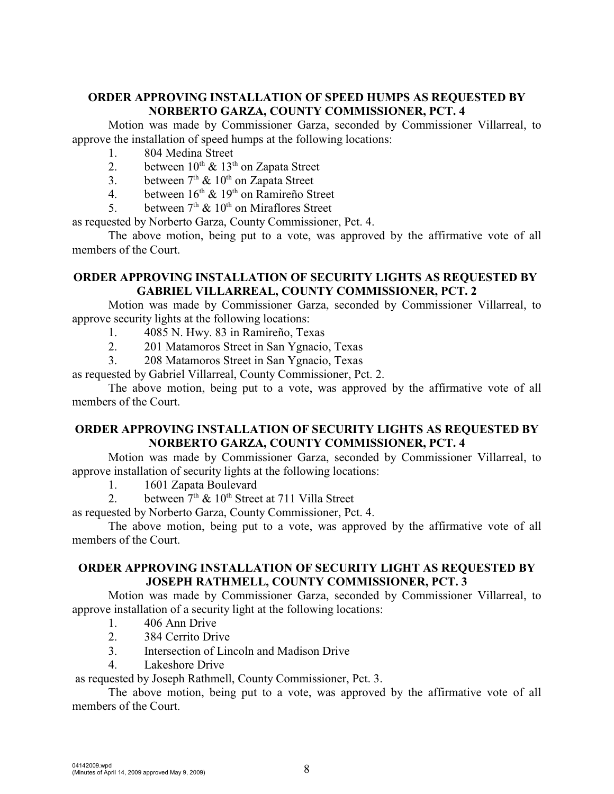## **ORDER APPROVING INSTALLATION OF SPEED HUMPS AS REQUESTED BY NORBERTO GARZA, COUNTY COMMISSIONER, PCT. 4**

Motion was made by Commissioner Garza, seconded by Commissioner Villarreal, to approve the installation of speed humps at the following locations:

- 1. 804 Medina Street
- 2. between  $10^{th} \& 13^{th}$  on Zapata Street
- 3. between  $7<sup>th</sup>$  &  $10<sup>th</sup>$  on Zapata Street
- 4. between  $16<sup>th</sup>$  &  $19<sup>th</sup>$  on Ramireño Street
- 5. between  $7<sup>th</sup>$  &  $10<sup>th</sup>$  on Miraflores Street

as requested by Norberto Garza, County Commissioner, Pct. 4.

The above motion, being put to a vote, was approved by the affirmative vote of all members of the Court.

## **ORDER APPROVING INSTALLATION OF SECURITY LIGHTS AS REQUESTED BY GABRIEL VILLARREAL, COUNTY COMMISSIONER, PCT. 2**

Motion was made by Commissioner Garza, seconded by Commissioner Villarreal, to approve security lights at the following locations:

- 1. 4085 N. Hwy. 83 in Ramireño, Texas
- 2. 201 Matamoros Street in San Ygnacio, Texas
- 3. 208 Matamoros Street in San Ygnacio, Texas

as requested by Gabriel Villarreal, County Commissioner, Pct. 2.

The above motion, being put to a vote, was approved by the affirmative vote of all members of the Court.

## **ORDER APPROVING INSTALLATION OF SECURITY LIGHTS AS REQUESTED BY NORBERTO GARZA, COUNTY COMMISSIONER, PCT. 4**

Motion was made by Commissioner Garza, seconded by Commissioner Villarreal, to approve installation of security lights at the following locations:

1. 1601 Zapata Boulevard

2. between  $7<sup>th</sup>$  &  $10<sup>th</sup>$  Street at 711 Villa Street

as requested by Norberto Garza, County Commissioner, Pct. 4.

The above motion, being put to a vote, was approved by the affirmative vote of all members of the Court.

## **ORDER APPROVING INSTALLATION OF SECURITY LIGHT AS REQUESTED BY JOSEPH RATHMELL, COUNTY COMMISSIONER, PCT. 3**

Motion was made by Commissioner Garza, seconded by Commissioner Villarreal, to approve installation of a security light at the following locations:

- 1. 406 Ann Drive
- 2. 384 Cerrito Drive
- 3. Intersection of Lincoln and Madison Drive
- 4. Lakeshore Drive

as requested by Joseph Rathmell, County Commissioner, Pct. 3.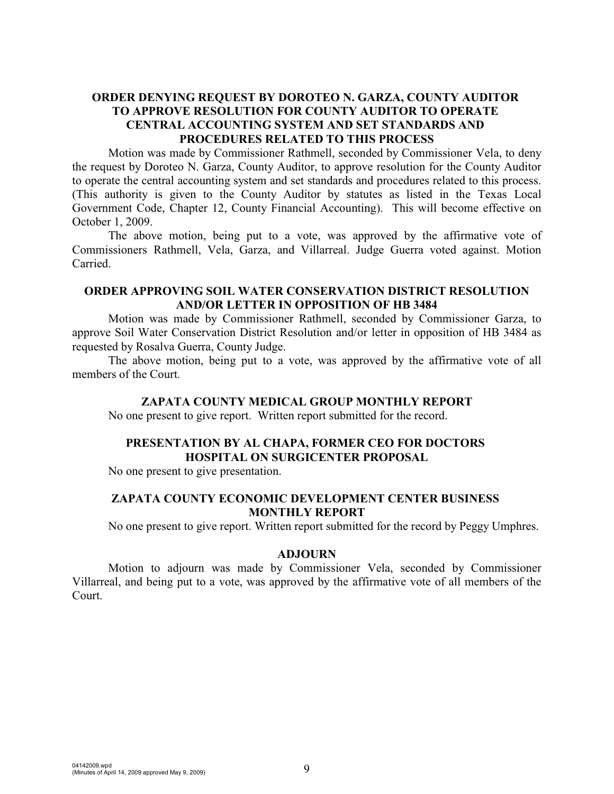## **ORDER DENYING REQUEST BY DOROTEO N. GARZA, COUNTY AUDITOR TO APPROVE RESOLUTION FOR COUNTY AUDITOR TO OPERATE CENTRAL ACCOUNTING SYSTEM AND SET STANDARDS AND PROCEDURES RELATED TO THIS PROCESS**

Motion was made by Commissioner Rathmell, seconded by Commissioner Vela, to deny the request by Doroteo N. Garza, County Auditor, to approve resolution for the County Auditor to operate the central accounting system and set standards and procedures related to this process. (This authority is given to the County Auditor by statutes as listed in the Texas Local Government Code, Chapter 12, County Financial Accounting). This will become effective on October 1, 2009.

The above motion, being put to a vote, was approved by the affirmative vote of Commissioners Rathmell, Vela, Garza, and Villarreal. Judge Guerra voted against. Motion Carried.

## **ORDER APPROVING SOIL WATER CONSERVATION DISTRICT RESOLUTION AND/OR LETTER IN OPPOSITION OF HB 3484**

Motion was made by Commissioner Rathmell, seconded by Commissioner Garza, to approve Soil Water Conservation District Resolution and/or letter in opposition of HB 3484 as requested by Rosalva Guerra, County Judge.

The above motion, being put to a vote, was approved by the affirmative vote of all members of the Court.

#### **ZAPATA COUNTY MEDICAL GROUP MONTHLY REPORT**

No one present to give report. Written report submitted for the record.

# **PRESENTATION BY AL CHAPA, FORMER CEO FOR DOCTORS HOSPITAL ON SURGICENTER PROPOSAL**

No one present to give presentation.

## **ZAPATA COUNTY ECONOMIC DEVELOPMENT CENTER BUSINESS MONTHLY REPORT**

No one present to give report. Written report submitted for the record by Peggy Umphres.

#### **ADJOURN**

Motion to adjourn was made by Commissioner Vela, seconded by Commissioner Villarreal, and being put to a vote, was approved by the affirmative vote of all members of the Court.